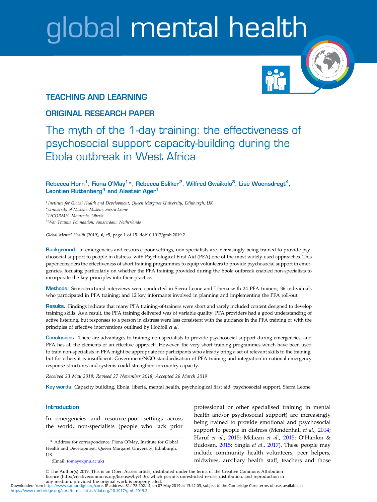# global mental health

# TEACHING AND LEARNING

# ORIGINAL RESEARCH PAPER

# The myth of the 1-day training: the effectiveness of psychosocial support capacity-building during the Ebola outbreak in West Africa

# Rebecca Horn<sup>1</sup>, Fiona O'May<sup>1</sup>\*, Rebecca Esliker<sup>2</sup>, Wilfred Gwaikolo<sup>3</sup>, Lise Woensdregt<sup>4</sup>, Leontien Ruttenberg<sup>4</sup> and Alastair Ager<sup>1</sup>

 $1$ Institute for Global Health and Development, Queen Margaret University, Edinburgh, UK

<sup>2</sup>University of Makeni, Makeni, Sierra Leone

<sup>3</sup>LiCORMH, Monrovia, Liberia

<sup>4</sup>War Trauma Foundation, Amsterdam, Netherlands

Global Mental Health (2019), 6, e5, page 1 of 15. doi:10.1017/gmh.2019.2

Background. In emergencies and resource-poor settings, non-specialists are increasingly being trained to provide psychosocial support to people in distress, with Psychological First Aid (PFA) one of the most widely-used approaches. This paper considers the effectiveness of short training programmes to equip volunteers to provide psychosocial support in emergencies, focusing particularly on whether the PFA training provided during the Ebola outbreak enabled non-specialists to incorporate the key principles into their practice.

Methods. Semi-structured interviews were conducted in Sierra Leone and Liberia with 24 PFA trainers; 36 individuals who participated in PFA training; and 12 key informants involved in planning and implementing the PFA roll-out.

Results. Findings indicate that many PFA training-of-trainers were short and rarely included content designed to develop training skills. As a result, the PFA training delivered was of variable quality. PFA providers had a good understanding of active listening, but responses to a person in distress were less consistent with the guidance in the PFA training or with the principles of effective interventions outlined by Hobfoll et al.

Conclusions. There are advantages to training non-specialists to provide psychosocial support during emergencies, and PFA has all the elements of an effective approach. However, the very short training programmes which have been used to train non-specialists in PFA might be appropriate for participants who already bring a set of relevant skills to the training, but for others it is insufficient. Government/NGO standardisation of PFA training and integration in national emergency response structures and systems could strengthen in-country capacity.

Received 23 May 2018; Revised 27 November 2018; Accepted 26 March 2019

Key words: Capacity building, Ebola, liberia, mental health, psychological first aid, psychosocial support, Sierra Leone.

# Introduction

In emergencies and resource-poor settings across the world, non-specialists (people who lack prior

professional or other specialised training in mental health and/or psychosocial support) are increasingly being trained to provide emotional and psychosocial support to people in distress (Mendenhall et al., [2014](#page-11-0); Haruf et al., [2015;](#page-11-0) McLean et al., [2015;](#page-11-0) O'Hanlon & Budosan, [2015;](#page-11-0) Singla et al., [2017\)](#page-12-0). These people may include community health volunteers, peer helpers, midwives, auxiliary health staff, teachers and those

© The Author(s) 2019. This is an Open Access article, distributed under the terms of the Creative Commons Attribution licence (http://creativecommons.org/licenses/by/4.0/), which permits unrestricted re-use, distribution, and reproduction in

any medium, provided the original work is properly cited.<br>Downloaded from [https://www.cambridge.org/core.](https://www.cambridge.org/core) IP address: 81.178.202.14, on 07 May 2019 at 13:42:03, subject to the Cambridge Core terms of use, available at [https://www.cambridge.org/core/terms.](https://www.cambridge.org/core/terms) <https://doi.org/10.1017/gmh.2019.2>

<sup>\*</sup> Address for correspondence: Fiona O'May, Institute for Global Health and Development, Queen Margaret University, Edinburgh,  $I K$ 

<sup>(</sup>Email: [fomay@qmu.ac.uk](mailto:fomay@qmu.ac.uk))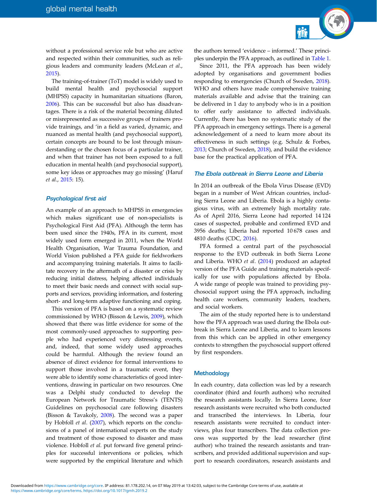

without a professional service role but who are active and respected within their communities, such as religious leaders and community leaders (McLean et al., [2015\)](#page-11-0).

The training-of-trainer (ToT) model is widely used to build mental health and psychosocial support (MHPSS) capacity in humanitarian situations (Baron, [2006\)](#page-11-0). This can be successful but also has disadvantages. There is a risk of the material becoming diluted or misrepresented as successive groups of trainers provide trainings, and 'in a field as varied, dynamic, and nuanced as mental health (and psychosocial support), certain concepts are bound to be lost through misunderstanding or the chosen focus of a particular trainer, and when that trainer has not been exposed to a full education in mental health (and psychosocial support), some key ideas or approaches may go missing' (Haruf et al., [2015:](#page-11-0) 15).

# Psychological first aid

An example of an approach to MHPSS in emergencies which makes significant use of non-specialists is Psychological First Aid (PFA). Although the term has been used since the 1940s, PFA in its current, most widely used form emerged in 2011, when the World Health Organisation, War Trauma Foundation, and World Vision published a PFA guide for fieldworkers and accompanying training materials. It aims to facilitate recovery in the aftermath of a disaster or crisis by reducing initial distress, helping affected individuals to meet their basic needs and connect with social supports and services, providing information, and fostering short- and long-term adaptive functioning and coping.

This version of PFA is based on a systematic review commissioned by WHO (Bisson & Lewis, [2009\)](#page-11-0), which showed that there was little evidence for some of the most commonly-used approaches to supporting people who had experienced very distressing events, and, indeed, that some widely used approaches could be harmful. Although the review found an absence of direct evidence for formal interventions to support those involved in a traumatic event, they were able to identify some characteristics of good interventions, drawing in particular on two resources. One was a Delphi study conducted to develop the European Network for Traumatic Stress's (TENTS) Guidelines on psychosocial care following disasters (Bisson & Tavakoly, [2008](#page-11-0)). The second was a paper by Hobfoll et al. ([2007\)](#page-11-0), which reports on the conclusions of a panel of international experts on the study and treatment of those exposed to disaster and mass violence. Hobfoll et al. put forward five general principles for successful interventions or policies, which were supported by the empirical literature and which the authors termed 'evidence – informed.' These principles underpin the PFA approach, as outlined in [Table 1](#page-2-0).

Since 2011, the PFA approach has been widely adopted by organisations and government bodies responding to emergencies (Church of Sweden, [2018](#page-11-0)). WHO and others have made comprehensive training materials available and advise that the training can be delivered in 1 day to anybody who is in a position to offer early assistance to affected individuals. Currently, there has been no systematic study of the PFA approach in emergency settings. There is a general acknowledgement of a need to learn more about its effectiveness in such settings (e.g. Schulz & Forbes, [2013;](#page-11-0) Church of Sweden, [2018\)](#page-11-0), and build the evidence base for the practical application of PFA.

# The Ebola outbreak in Sierra Leone and Liberia

In 2014 an outbreak of the Ebola Virus Disease (EVD) began in a number of West African countries, including Sierra Leone and Liberia. Ebola is a highly contagious virus, with an extremely high mortality rate. As of April 2016, Sierra Leone had reported 14 124 cases of suspected, probable and confirmed EVD and 3956 deaths; Liberia had reported 10 678 cases and 4810 deaths (CDC, [2016](#page-11-0)).

PFA formed a central part of the psychosocial response to the EVD outbreak in both Sierra Leone and Liberia. WHO et al. ([2014\)](#page-12-0) produced an adapted version of the PFA Guide and training materials specifically for use with populations affected by Ebola. A wide range of people was trained to providing psychosocial support using the PFA approach, including health care workers, community leaders, teachers, and social workers.

The aim of the study reported here is to understand how the PFA approach was used during the Ebola outbreak in Sierra Leone and Liberia, and to learn lessons from this which can be applied in other emergency contexts to strengthen the psychosocial support offered by first responders.

# **Methodology**

In each country, data collection was led by a research coordinator (third and fourth authors) who recruited the research assistants locally. In Sierra Leone, four research assistants were recruited who both conducted and transcribed the interviews. In Liberia, four research assistants were recruited to conduct interviews, plus four transcribers. The data collection process was supported by the lead researcher (first author) who trained the research assistants and transcribers, and provided additional supervision and support to research coordinators, research assistants and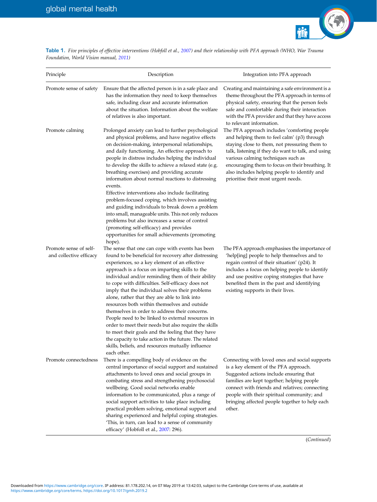

| Principle                                         | Description                                                                                                                                                                                                                                                                                                                                                                                                                                                                                                                                                                                                                                                                                                                                                                                                               | Integration into PFA approach                                                                                                                                                                                                                                                                                                                                                       |  |  |
|---------------------------------------------------|---------------------------------------------------------------------------------------------------------------------------------------------------------------------------------------------------------------------------------------------------------------------------------------------------------------------------------------------------------------------------------------------------------------------------------------------------------------------------------------------------------------------------------------------------------------------------------------------------------------------------------------------------------------------------------------------------------------------------------------------------------------------------------------------------------------------------|-------------------------------------------------------------------------------------------------------------------------------------------------------------------------------------------------------------------------------------------------------------------------------------------------------------------------------------------------------------------------------------|--|--|
| Promote sense of safety                           | Ensure that the affected person is in a safe place and<br>has the information they need to keep themselves<br>safe, including clear and accurate information<br>about the situation. Information about the welfare<br>of relatives is also important.                                                                                                                                                                                                                                                                                                                                                                                                                                                                                                                                                                     | Creating and maintaining a safe environment is a<br>theme throughout the PFA approach in terms of<br>physical safety, ensuring that the person feels<br>safe and comfortable during their interaction<br>with the PFA provider and that they have access<br>to relevant information.                                                                                                |  |  |
| Promote calming                                   | Prolonged anxiety can lead to further psychological<br>and physical problems, and have negative effects<br>on decision-making, interpersonal relationships,<br>and daily functioning. An effective approach to<br>people in distress includes helping the individual<br>to develop the skills to achieve a relaxed state (e.g.<br>breathing exercises) and providing accurate<br>information about normal reactions to distressing<br>events.<br>Effective interventions also include facilitating<br>problem-focused coping, which involves assisting<br>and guiding individuals to break down a problem<br>into small, manageable units. This not only reduces<br>problems but also increases a sense of control<br>(promoting self-efficacy) and provides<br>opportunities for small achievements (promoting           | The PFA approach includes 'comforting people<br>and helping them to feel calm' (p3) through<br>staying close to them, not pressuring them to<br>talk, listening if they do want to talk, and using<br>various calming techniques such as<br>encouraging them to focus on their breathing. It<br>also includes helping people to identify and<br>prioritise their most urgent needs. |  |  |
| Promote sense of self-<br>and collective efficacy | hope).<br>The sense that one can cope with events has been<br>found to be beneficial for recovery after distressing<br>experiences, so a key element of an effective<br>approach is a focus on imparting skills to the<br>individual and/or reminding them of their ability<br>to cope with difficulties. Self-efficacy does not<br>imply that the individual solves their problems<br>alone, rather that they are able to link into<br>resources both within themselves and outside<br>themselves in order to address their concerns.<br>People need to be linked to external resources in<br>order to meet their needs but also require the skills<br>to meet their goals and the feeling that they have<br>the capacity to take action in the future. The related<br>skills, beliefs, and resources mutually influence | The PFA approach emphasises the importance of<br>'help[ing] people to help themselves and to<br>regain control of their situation' (p24). It<br>includes a focus on helping people to identify<br>and use positive coping strategies that have<br>benefited them in the past and identifying<br>existing supports in their lives.                                                   |  |  |
| Promote connectedness                             | each other.<br>There is a compelling body of evidence on the<br>central importance of social support and sustained<br>attachments to loved ones and social groups in<br>combating stress and strengthening psychosocial<br>wellbeing. Good social networks enable<br>information to be communicated, plus a range of<br>social support activities to take place including<br>practical problem solving, emotional support and<br>sharing experienced and helpful coping strategies.<br>'This, in turn, can lead to a sense of community<br>efficacy' (Hobfoll et al., 2007: 296).                                                                                                                                                                                                                                         | Connecting with loved ones and social supports<br>is a key element of the PFA approach.<br>Suggested actions include ensuring that<br>families are kept together; helping people<br>connect with friends and relatives; connecting<br>people with their spiritual community; and<br>bringing affected people together to help each<br>other.                                        |  |  |

<span id="page-2-0"></span>Table 1. Five principles of effective interventions (Hobfoll et al., [2007](#page-11-0)) and their relationship with PFA approach (WHO, War Trauma Foundation, World Vision manual, [2011](#page-12-0))

(Continued)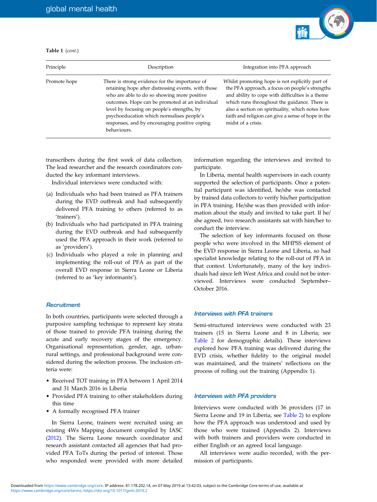Table 1 (cont.)



| Principle    | Description                                                                                                                                                                                                                                                                                                                                                         | Integration into PFA approach                                                                                                                                                                                                                                                                                                         |  |  |
|--------------|---------------------------------------------------------------------------------------------------------------------------------------------------------------------------------------------------------------------------------------------------------------------------------------------------------------------------------------------------------------------|---------------------------------------------------------------------------------------------------------------------------------------------------------------------------------------------------------------------------------------------------------------------------------------------------------------------------------------|--|--|
| Promote hope | There is strong evidence for the importance of<br>retaining hope after distressing events, with those<br>who are able to do so showing more positive<br>outcomes. Hope can be promoted at an individual<br>level by focusing on people's strengths, by<br>psychoeducation which normalises people's<br>responses, and by encouraging positive coping<br>behaviours. | Whilst promoting hope is not explicitly part of<br>the PFA approach, a focus on people's strengths<br>and ability to cope with difficulties is a theme<br>which runs throughout the guidance. There is<br>also a section on spirituality, which notes how<br>faith and religion can give a sense of hope in the<br>midst of a crisis. |  |  |

transcribers during the first week of data collection. The lead researcher and the research coordinators conducted the key informant interviews.

Individual interviews were conducted with:

- (a) Individuals who had been trained as PFA trainers during the EVD outbreak and had subsequently delivered PFA training to others (referred to as 'trainers').
- (b) Individuals who had participated in PFA training during the EVD outbreak and had subsequently used the PFA approach in their work (referred to as 'providers').
- (c) Individuals who played a role in planning and implementing the roll-out of PFA as part of the overall EVD response in Sierra Leone or Liberia (referred to as 'key informants').

# **Recruitment**

In both countries, participants were selected through a purposive sampling technique to represent key strata of those trained to provide PFA training during the acute and early recovery stages of the emergency. Organisational representation, gender, age, urbanrural settings, and professional background were considered during the selection process. The inclusion criteria were:

- Received TOT training in PFA between 1 April 2014 and 31 March 2016 in Liberia
- Provided PFA training to other stakeholders during this time
- A formally recognised PFA trainer

In Sierra Leone, trainers were recruited using an existing 4Ws Mapping document compiled by IASC ([2012\)](#page-11-0). The Sierra Leone research coordinator and research assistant contacted all agencies that had provided PFA ToTs during the period of interest. Those who responded were provided with more detailed information regarding the interviews and invited to participate.

In Liberia, mental health supervisors in each county supported the selection of participants. Once a potential participant was identified, he/she was contacted by trained data collectors to verify his/her participation in PFA training. He/she was then provided with information about the study and invited to take part. If he/ she agreed, two research assistants sat with him/her to conduct the interview.

The selection of key informants focused on those people who were involved in the MHPSS element of the EVD response in Sierra Leone and Liberia, so had specialist knowledge relating to the roll-out of PFA in that context. Unfortunately, many of the key individuals had since left West Africa and could not be interviewed. Interviews were conducted September– October 2016.

# Interviews with PFA trainers

Semi-structured interviews were conducted with 23 trainers (15 in Sierra Leone and 8 in Liberia; see [Table 2](#page-4-0) for demographic details). These interviews explored how PFA training was delivered during the EVD crisis, whether fidelity to the original model was maintained, and the trainers' reflections on the process of rolling out the training (Appendix 1).

# Interviews with PFA providers

Interviews were conducted with 36 providers (17 in Sierra Leone and 19 in Liberia, see [Table 2\)](#page-4-0) to explore how the PFA approach was understood and used by those who were trained (Appendix 2). Interviews with both trainers and providers were conducted in either English or an agreed local language.

All interviews were audio recorded, with the permission of participants.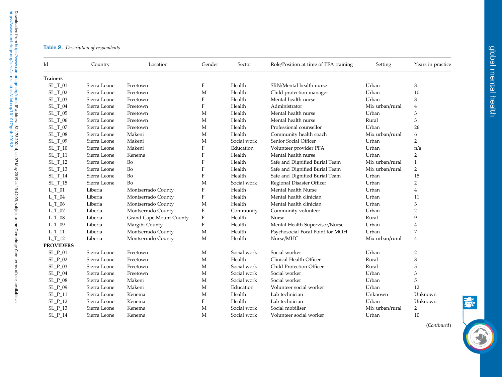#### **Table 2.** Description of respondents

[https://www.cambridge.org/core/terms.](https://www.cambridge.org/core/terms) <https://doi.org/10.1017/gmh.2019.2>

<span id="page-4-0"></span>Downloaded from https://www.cambridge.org/core. **IP address: 81.178.202.14, on 07 May 2019 at 13:42:03, subject to the Cambridge Core terms of use, available at<br>https://www.cambridge.org/core/terms. https://doi.org/10.1017** Downloaded from [https://www.cambridge.org/core.](https://www.cambridge.org/core) IP address: 81.178.202.14, on 07 May 2019 at 13:42:03, subject to the Cambridge Core terms of use, available at

| Id               | Country      | Location                | Gender      | Sector      | Role/Position at time of PFA training | Setting         | Years in practice |
|------------------|--------------|-------------------------|-------------|-------------|---------------------------------------|-----------------|-------------------|
| <b>Trainers</b>  |              |                         |             |             |                                       |                 |                   |
| SL T 01          | Sierra Leone | Freetown                | F           | Health      | SRN/Mental health nurse               | Urban           | 8                 |
| $SL_T_02$        | Sierra Leone | Freetown                | M           | Health      | Child protection manager              | Urban           | 10                |
| $SL_T_03$        | Sierra Leone | Freetown                | $\mathbf F$ | Health      | Mental health nurse                   | Urban           | 8                 |
| $SL_T_04$        | Sierra Leone | Freetown                | F           | Health      | Administrator                         | Mix urban/rural | $\overline{4}$    |
| $SL_T_05$        | Sierra Leone | Freetown                | M           | Health      | Mental health nurse                   | Urban           | 3                 |
| $SL_T_06$        | Sierra Leone | Freetown                | M           | Health      | Mental health nurse                   | Rural           | 3                 |
| $SL_T_07$        | Sierra Leone | Freetown                | M           | Health      | Professional counsellor               | Urban           | 26                |
| $SL_T_08$        | Sierra Leone | Makeni                  | M           | Health      | Community health coach                | Mix urban/rural | 6                 |
| $SL_T_09$        | Sierra Leone | Makeni                  | M           | Social work | Senior Social Officer                 | Urban           | $\overline{2}$    |
| $SL_T_10$        | Sierra Leone | Makeni                  | F           | Education   | Volunteer provider PFA                | Urban           | n/a               |
| $SL_T_11$        | Sierra Leone | Kenema                  | F           | Health      | Mental health nurse                   | Urban           | $\sqrt{2}$        |
| $SL_T_12$        | Sierra Leone | Bo                      | $\mathbf F$ | Health      | Safe and Dignified Burial Team        | Mix urban/rural | $\mathbf{1}$      |
| $SL_T_13$        | Sierra Leone | Bo                      | $\mathbf F$ | Health      | Safe and Dignified Burial Team        | Mix urban/rural | 2                 |
| $SL_T14$         | Sierra Leone | Bo                      | $\mathbf F$ | Health      | Safe and Dignified Burial Team        | Urban           | 15                |
| $SL_T_15$        | Sierra Leone | <b>Bo</b>               | M           | Social work | Regional Disaster Officer             | Urban           | $\overline{2}$    |
| $L_T$ _01        | Liberia      | Montserrado County      | F           | Health      | Mental health Nurse                   | Urban           | $\overline{4}$    |
| $L_T_{04}$       | Liberia      | Montserrado County      | $\rm F$     | Health      | Mental health clinician               | Urban           | 11                |
| $L_T$ _06        | Liberia      | Montserrado County      | M           | Health      | Mental health clinician               | Urban           | 3                 |
| $L_T07$          | Liberia      | Montserrado County      | $\rm F$     | Community   | Community volunteer                   | Urban           | $\overline{2}$    |
| $L_T$ _08        | Liberia      | Grand Cape Mount County | $\mathbf F$ | Health      | Nurse                                 | Rural           | 9                 |
| $L_T$ 09         | Liberia      | Margibi County          | $\mathbf F$ | Health      | Mental Health Supervisor/Nurse        | Urban           | $\overline{4}$    |
| $L_T11$          | Liberia      | Montserrado County      | M           | Health      | Psychosocial Focal Point for MOH      | Urban           | $\overline{7}$    |
| $L_T12$          | Liberia      | Montserrado County      | M           | Health      | Nurse/MHC                             | Mix urban/rural | $\overline{4}$    |
| <b>PROVIDERS</b> |              |                         |             |             |                                       |                 |                   |
| $SL_P_01$        | Sierra Leone | Freetown                | M           | Social work | Social worker                         | Urban           | 2                 |
| $SL_P_02$        | Sierra Leone | Freetown                | M           | Health      | Clinical Health Officer               | Rural           | 8                 |
| $SL_P_03$        | Sierra Leone | Freetown                | M           | Social work | Child Protection Officer              | Rural           | 5                 |
| $SL_P_04$        | Sierra Leone | Freetown                | M           | Social work | Social worker                         | Urban           | 3                 |
| $SL_P_08$        | Sierra Leone | Makeni                  | M           | Social work | Social worker                         | Urban           | $\sqrt{5}$        |
| $SL_P_09$        | Sierra Leone | Makeni                  | M           | Education   | Volunteer social worker               | Urban           | 12                |
| $SL_P_11$        | Sierra Leone | Kenema                  | M           | Health      | Lab technician                        | Unknown         | Unknown           |
| $SL_P_12$        | Sierra Leone | Kenema                  | F           | Health      | Lab technician                        | Urban           | Unknown           |
| $SL_P_13$        | Sierra Leone | Kenema                  | M           | Social work | Social mobiliser                      | Mix urban/rural | 2                 |
| $SL_P_14$        | Sierra Leone | Kenema                  | M           | Social work | Volunteer social worker               | Urban           | 10                |

(Continued)



歌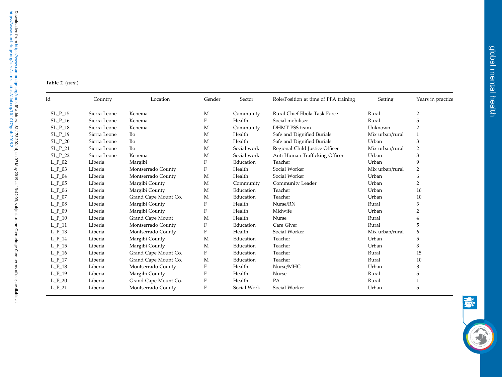#### Table 2 (cont.)

| Id         | Country      | Location             | Gender | Sector      | Role/Position at time of PFA training | Setting         | Years in practice |
|------------|--------------|----------------------|--------|-------------|---------------------------------------|-----------------|-------------------|
| $SL_P_15$  | Sierra Leone | Kenema               | M      | Community   | Rural Chief Ebola Task Force          | Rural           | 2                 |
| $SL_P_16$  | Sierra Leone | Kenema               | F      | Health      | Social mobiliser                      | Rural           | 5                 |
| $SL_P_18$  | Sierra Leone | Kenema               | M      | Community   | <b>DHMT PSS</b> team                  | Unknown         | $\overline{2}$    |
| $SL_P_19$  | Sierra Leone | Bo                   | М      | Health      | Safe and Dignified Burials            | Mix urban/rural | 1                 |
| $SL_P_2$   | Sierra Leone | Bo                   | М      | Health      | Safe and Dignified Burials            | Urban           | 3                 |
| $SL_P_21$  | Sierra Leone | Bo                   | М      | Social work | Regional Child Justice Officer        | Mix urban/rural | 2                 |
| SL_P_22    | Sierra Leone | Kenema               | М      | Social work | Anti Human Trafficking Officer        | Urban           | 3                 |
| $L_P_02$   | Liberia      | Margibi              | F      | Education   | Teacher                               | Urban           | 9                 |
| $L_P_03$   | Liberia      | Montserrado County   | F      | Health      | Social Worker                         | Mix urban/rural | $\overline{2}$    |
| $L_P_04$   | Liberia      | Montserrado County   | M      | Health      | Social Worker                         | Urban           | 6                 |
| $L_P$ _05  | Liberia      | Margibi County       | M      | Community   | Community Leader                      | Urban           | 2                 |
| $L_P$ _06  | Liberia      | Margibi County       | М      | Education   | Teacher                               | Urban           | 16                |
| $L_P_07$   | Liberia      | Grand Cape Mount Co. | M      | Education   | Teacher                               | Urban           | 10                |
| $L_P$ _08  | Liberia      | Margibi County       | F      | Health      | Nurse/RN                              | Rural           | 3                 |
| $L_P$ _09  | Liberia      | Margibi County       | F      | Health      | Midwife                               | Urban           | $\overline{2}$    |
| $L_P_10$   | Liberia      | Grand Cape Mount     | M      | Health      | Nurse                                 | Rural           | $\overline{4}$    |
| $L_P11$    | Liberia      | Montserrado County   | F      | Education   | Care Giver                            | Rural           | 5                 |
| $L_P_13$   | Liberia      | Montserrado County   | F      | Health      | Social Worker                         | Mix urban/rural | 6                 |
| $L_P_14$   | Liberia      | Margibi County       | M      | Education   | Teacher                               | Urban           | 5                 |
| $L_P_15$   | Liberia      | Margibi County       | M      | Education   | Teacher                               | Urban           | 3                 |
| $L_P_{16}$ | Liberia      | Grand Cape Mount Co. | F      | Education   | Teacher                               | Rural           | 15                |
| $L_P_{17}$ | Liberia      | Grand Cape Mount Co. | M      | Education   | Teacher                               | Rural           | 10                |
| $L_P_{18}$ | Liberia      | Montserrado County   | F      | Health      | Nurse/MHC                             | Urban           | 8                 |
| $L_P_19$   | Liberia      | Margibi County       | F      | Health      | Nurse                                 | Rural           | 5                 |
| L P 20     | Liberia      | Grand Cape Mount Co. | F      | Health      | PA                                    | Rural           | $\mathbf{1}$      |
| $L_P_21$   | Liberia      | Montserrado County   | F      | Social Work | Social Worker                         | Urban           | 5                 |

[https://www.cambridge.org/core/terms.](https://www.cambridge.org/core/terms) <https://doi.org/10.1017/gmh.2019.2>

3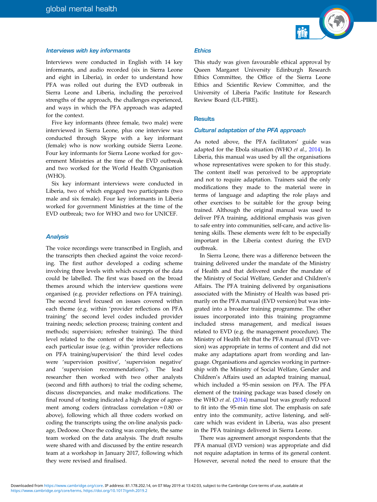

Interviews were conducted in English with 14 key informants, and audio recorded (six in Sierra Leone and eight in Liberia), in order to understand how PFA was rolled out during the EVD outbreak in Sierra Leone and Liberia, including the perceived strengths of the approach, the challenges experienced, and ways in which the PFA approach was adapted for the context.

Five key informants (three female, two male) were interviewed in Sierra Leone, plus one interview was conducted through Skype with a key informant (female) who is now working outside Sierra Leone. Four key informants for Sierra Leone worked for government Ministries at the time of the EVD outbreak and two worked for the World Health Organisation (WHO).

Six key informant interviews were conducted in Liberia, two of which engaged two participants (two male and six female). Four key informants in Liberia worked for government Ministries at the time of the EVD outbreak; two for WHO and two for UNICEF.

# **Analysis**

The voice recordings were transcribed in English, and the transcripts then checked against the voice recording. The first author developed a coding scheme involving three levels with which excerpts of the data could be labelled. The first was based on the broad themes around which the interview questions were organised (e.g. provider reflections on PFA training). The second level focused on issues covered within each theme (e.g. within 'provider reflections on PFA training' the second level codes included provider training needs; selection process; training content and methods; supervision; refresher training). The third level related to the content of the interview data on each particular issue (e.g. within 'provider reflections on PFA training/supervision' the third level codes were 'supervision positive', 'supervision negative' and 'supervision recommendations'). The lead researcher then worked with two other analysts (second and fifth authors) to trial the coding scheme, discuss discrepancies, and make modifications. The final round of testing indicated a high degree of agreement among coders (intraclass correlation = 0.80 or above), following which all three coders worked on coding the transcripts using the on-line analysis package, Dedoose. Once the coding was complete, the same team worked on the data analysis. The draft results were shared with and discussed by the entire research team at a workshop in January 2017, following which they were revised and finalised.



# **Ethics**

This study was given favourable ethical approval by Queen Margaret University Edinburgh Research Ethics Committee, the Office of the Sierra Leone Ethics and Scientific Review Committee, and the University of Liberia Pacific Institute for Research Review Board (UL-PIRE).

# **Results**

# Cultural adaptation of the PFA approach

As noted above, the PFA facilitators' guide was adapted for the Ebola situation (WHO et al., [2014](#page-12-0)). In Liberia, this manual was used by all the organisations whose representatives were spoken to for this study. The content itself was perceived to be appropriate and not to require adaptation. Trainers said the only modifications they made to the material were in terms of language and adapting the role plays and other exercises to be suitable for the group being trained. Although the original manual was used to deliver PFA training, additional emphasis was given to safe entry into communities, self-care, and active listening skills. These elements were felt to be especially important in the Liberia context during the EVD outbreak.

In Sierra Leone, there was a difference between the training delivered under the mandate of the Ministry of Health and that delivered under the mandate of the Ministry of Social Welfare, Gender and Children's Affairs. The PFA training delivered by organisations associated with the Ministry of Health was based primarily on the PFA manual (EVD version) but was integrated into a broader training programme. The other issues incorporated into this training programme included stress management, and medical issues related to EVD (e.g. the management procedure). The Ministry of Health felt that the PFA manual (EVD version) was appropriate in terms of content and did not make any adaptations apart from wording and language. Organisations and agencies working in partnership with the Ministry of Social Welfare, Gender and Children's Affairs used an adapted training manual, which included a 95-min session on PFA. The PFA element of the training package was based closely on the WHO et al. ([2014\)](#page-12-0) manual but was greatly reduced to fit into the 95-min time slot. The emphasis on safe entry into the community, active listening, and selfcare which was evident in Liberia, was also present in the PFA trainings delivered in Sierra Leone.

There was agreement amongst respondents that the PFA manual (EVD version) was appropriate and did not require adaptation in terms of its general content. However, several noted the need to ensure that the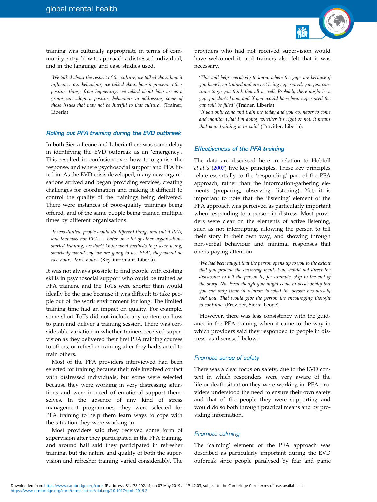

training was culturally appropriate in terms of community entry, how to approach a distressed individual, and in the language and case studies used.

'We talked about the respect of the culture, we talked about how it influences our behaviour, we talked about how it prevents other positive things from happening; we talked about how we as a group can adopt a positive behaviour in addressing some of those issues that may not be hurtful to that culture'. (Trainer, Liberia)

# Rolling out PFA training during the EVD outbreak

In both Sierra Leone and Liberia there was some delay in identifying the EVD outbreak as an 'emergency'. This resulted in confusion over how to organise the response, and where psychosocial support and PFA fitted in. As the EVD crisis developed, many new organisations arrived and began providing services, creating challenges for coordination and making it difficult to control the quality of the trainings being delivered. There were instances of poor-quality trainings being offered, and of the same people being trained multiple times by different organisations.

'It was diluted, people would do different things and call it PFA, and that was not PFA … Later on a lot of other organisations started training, we don't know what methods they were using, somebody would say 'we are going to use PFA', they would do two hours, three hours' (Key informant, Liberia).

It was not always possible to find people with existing skills in psychosocial support who could be trained as PFA trainers, and the ToTs were shorter than would ideally be the case because it was difficult to take people out of the work environment for long. The limited training time had an impact on quality. For example, some short ToTs did not include any content on how to plan and deliver a training session. There was considerable variation in whether trainers received supervision as they delivered their first PFA training courses to others, or refresher training after they had started to train others.

Most of the PFA providers interviewed had been selected for training because their role involved contact with distressed individuals, but some were selected because they were working in very distressing situations and were in need of emotional support themselves. In the absence of any kind of stress management programmes, they were selected for PFA training to help them learn ways to cope with the situation they were working in.

Most providers said they received some form of supervision after they participated in the PFA training, and around half said they participated in refresher training, but the nature and quality of both the supervision and refresher training varied considerably. The

providers who had not received supervision would have welcomed it, and trainers also felt that it was necessary.

'This will help everybody to know where the gaps are because if you have been trained and are not being supervised, you just continue to go you think that all is well. Probably there might be a gap you don't know and if you would have been supervised the gap will be filled' (Trainer, Liberia)

'If you only come and train me today and you go, never to come and monitor what I'm doing, whether it's right or not, it means that your training is in vain' (Provider, Liberia).

# Effectiveness of the PFA training

The data are discussed here in relation to Hobfoll et al.'s [\(2007](#page-11-0)) five key principles. These key principles relate essentially to the 'responding' part of the PFA approach, rather than the information-gathering elements (preparing, observing, listening). Yet, it is important to note that the 'listening' element of the PFA approach was perceived as particularly important when responding to a person in distress. Most providers were clear on the elements of active listening, such as not interrupting, allowing the person to tell their story in their own way, and showing through non-verbal behaviour and minimal responses that one is paying attention.

'We had been taught that the person opens up to you to the extent that you provide the encouragement. You should not direct the discussion to tell the person to, for example, skip to the end of the story. No. Even though you might come in occasionally but you can only come in relation to what the person has already told you. That would give the person the encouraging thought to continue' (Provider, Sierra Leone).

However, there was less consistency with the guidance in the PFA training when it came to the way in which providers said they responded to people in distress, as discussed below.

# Promote sense of safety

There was a clear focus on safety, due to the EVD context in which responders were very aware of the life-or-death situation they were working in. PFA providers understood the need to ensure their own safety and that of the people they were supporting and would do so both through practical means and by providing information.

# Promote calming

The 'calming' element of the PFA approach was described as particularly important during the EVD outbreak since people paralysed by fear and panic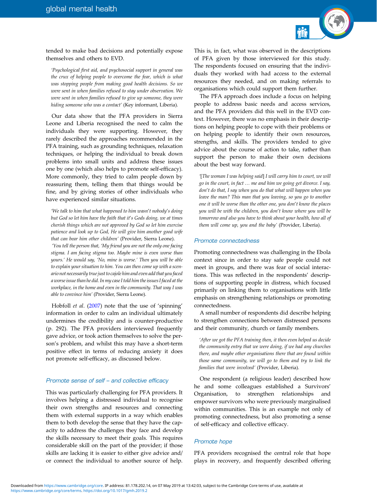

tended to make bad decisions and potentially expose themselves and others to EVD.

'Psychological first aid, and psychosocial support in general was the crux of helping people to overcome the fear, which is what was stopping people from making good health decisions. So we were sent in when families refused to stay under observation. We were sent in when families refused to give up someone, they were hiding someone who was a contact' (Key informant, Liberia).

Our data show that the PFA providers in Sierra Leone and Liberia recognised the need to calm the individuals they were supporting. However, they rarely described the approaches recommended in the PFA training, such as grounding techniques, relaxation techniques, or helping the individual to break down problems into small units and address these issues one by one (which also helps to promote self-efficacy). More commonly, they tried to calm people down by reassuring them, telling them that things would be fine, and by giving stories of other individuals who have experienced similar situations.

'We talk to him that what happened to him wasn't nobody's doing but God so let him have the faith that it's Gods doing, we at times cherish things which are not approved by God so let him exercise patience and look up to God, He will give him another good wife that can bear him other children' (Provider, Sierra Leone).

'You tell the person that, 'My friend you are not the only one facing stigma. I am facing stigma too. Maybe mine is even worse than yours.' He would say, 'No, mine is worse.' Then you will be able to explain your situation to him. You can then come up with a scenario not necessarily true just to cajole him and even add that you faced a worse issue than he did. In my case I told him the issues I faced at the workplace, in the home and even in the community. That way I was able to convince him' (Provider, Sierra Leone).

Hobfoll et al. ([2007\)](#page-11-0) note that the use of 'spinning' information in order to calm an individual ultimately undermines the credibility and is counter-productive (p. 292). The PFA providers interviewed frequently gave advice, or took action themselves to solve the person's problem, and whilst this may have a short-term positive effect in terms of reducing anxiety it does not promote self-efficacy, as discussed below.

# Promote sense of self – and collective efficacy

This was particularly challenging for PFA providers. It involves helping a distressed individual to recognise their own strengths and resources and connecting them with external supports in a way which enables them to both develop the sense that they have the capacity to address the challenges they face and develop the skills necessary to meet their goals. This requires considerable skill on the part of the provider; if those skills are lacking it is easier to either give advice and/ or connect the individual to another source of help.

This is, in fact, what was observed in the descriptions of PFA given by those interviewed for this study. The respondents focused on ensuring that the individuals they worked with had access to the external resources they needed, and on making referrals to organisations which could support them further.

The PFA approach does include a focus on helping people to address basic needs and access services, and the PFA providers did this well in the EVD context. However, there was no emphasis in their descriptions on helping people to cope with their problems or on helping people to identify their own resources, strengths, and skills. The providers tended to give advice about the course of action to take, rather than support the person to make their own decisions about the best way forward.

'[The woman I was helping said] I will carry him to court, we will go in the court, in fact … me and him we going get divorce. I say, don't do that, I say when you do that what will happen when you leave the man? This man that you leaving, so you go to another one it will be worse than the other one, you don't know the places you will be with the children, you don't know where you will be tomorrow and also you have to think about your health, how all of them will come up, you and the baby' (Provider, Liberia).

#### Promote connectedness

Promoting connectedness was challenging in the Ebola context since in order to stay safe people could not meet in groups, and there was fear of social interactions. This was reflected in the respondents' descriptions of supporting people in distress, which focused primarily on linking them to organisations with little emphasis on strengthening relationships or promoting connectedness.

A small number of respondents did describe helping to strengthen connections between distressed persons and their community, church or family members.

'After we got the PFA training then, it then even helped us decide the community entry that we were doing, if we had any churches there, and maybe other organisations there that are found within those same community, we will go to them and try to link the families that were involved' (Provider, Liberia).

One respondent (a religious leader) described how he and some colleagues established a Survivors' Organisation, to strengthen relationships and empower survivors who were previously marginalised within communities. This is an example not only of promoting connectedness, but also promoting a sense of self-efficacy and collective efficacy.

# Promote hope

PFA providers recognised the central role that hope plays in recovery, and frequently described offering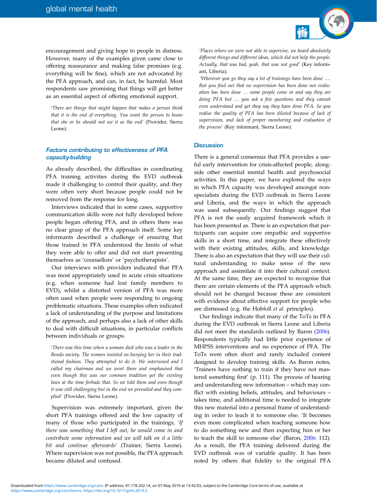encouragement and giving hope to people in distress. However, many of the examples given came close to offering reassurance and making false promises (e.g. everything will be fine), which are not advocated by the PFA approach, and can, in fact, be harmful. Most respondents saw promising that things will get better as an essential aspect of offering emotional support.

'There are things that might happen that makes a person think that it is the end of everything. You want the person to know that she or he should not see it as the end' (Provider, Sierra Leone).

# Factors contributing to effectiveness of PFA capacity-building

As already described, the difficulties in coordinating PFA training activities during the EVD outbreak made it challenging to control their quality, and they were often very short because people could not be removed from the response for long.

Interviews indicated that in some cases, supportive communication skills were not fully developed before people began offering PFA, and in others there was no clear grasp of the PFA approach itself. Some key informants described a challenge of ensuring that those trained in PFA understood the limits of what they were able to offer and did not start presenting themselves as 'counsellors' or 'psychotherapists'.

Our interviews with providers indicated that PFA was most appropriately used in acute crisis situations (e.g. when someone had lost family members to EVD), whilst a distorted version of PFA was more often used when people were responding to ongoing problematic situations. These examples often indicated a lack of understanding of the purpose and limitations of the approach, and perhaps also a lack of other skills to deal with difficult situations, in particular conflicts between individuals or groups.

'There was this time when a woman died who was a leader in the Bondo society. The women insisted on burying her in their traditional fashion. They attempted to do it. We intervened and I called my chairman and we went there and emphasised that even though this was our common tradition yet the existing laws at the time forbade that. So we told them and even though it was still challenging but in the end we prevailed and they complied' (Provider, Sierra Leone).

Supervision was extremely important, given the short PFA trainings offered and the low capacity of many of those who participated in the trainings, 'If there was something that I left out, he would come in and contribute some information and we will talk on it a little bit and continue afterwards' (Trainer, Sierra Leone). Where supervision was not possible, the PFA approach became diluted and confused.



'Places where we were not able to supervise, we heard absolutely different things and different ideas, which did not help the people. Actually, that was bad, yeah, that was not good' (Key informant, Liberia).

'Wherever you go they say a lot of trainings have been done …. But you find out that no supervision has been done nor evaluation has been done … some people come in and say they are doing PFA but … you ask a few questions and they cannot even understand and yet they say they have done PFA. So you realise the quality of PFA has been diluted because of lack of supervision, and lack of proper monitoring and evaluation of the process' (Key informant, Sierra Leone).

# **Discussion**

There is a general consensus that PFA provides a useful early intervention for crisis-affected people, alongside other essential mental health and psychosocial activities. In this paper, we have explored the ways in which PFA capacity was developed amongst nonspecialists during the EVD outbreak in Sierra Leone and Liberia, and the ways in which the approach was used subsequently. Our findings suggest that PFA is not the easily acquired framework which it has been presented as. There is an expectation that participants can acquire core empathic and supportive skills in a short time, and integrate these effectively with their existing attitudes, skills, and knowledge. There is also an expectation that they will use their cultural understanding to make sense of the new approach and assimilate it into their cultural context. At the same time, they are expected to recognise that there are certain elements of the PFA approach which should not be changed because these are consistent with evidence about effective support for people who are distressed (e.g. the Hobfoll et al. principles).

Our findings indicate that many of the ToTs in PFA during the EVD outbreak in Sierra Leone and Liberia did not meet the standards outlined by Baron ([2006](#page-11-0)). Respondents typically had little prior experience of MHPSS interventions and no experience of PFA. The ToTs were often short and rarely included content designed to develop training skills. As Baron notes, 'Trainers have nothing to train if they have not mastered something first' (p. 111). The process of hearing and understanding new information – which may conflict with existing beliefs, attitudes, and behaviours – takes time, and additional time is needed to integrate this new material into a personal frame of understanding in order to teach it to someone else. 'It becomes even more complicated when teaching someone how to do something new and then expecting him or her to teach the skill to someone else' (Baron, [2006](#page-11-0): 112). As a result, the PFA training delivered during the EVD outbreak was of variable quality. It has been noted by others that fidelity to the original PFA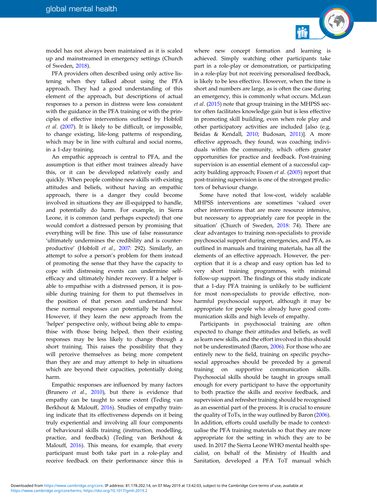

model has not always been maintained as it is scaled up and mainstreamed in emergency settings (Church of Sweden, [2018\)](#page-11-0).

PFA providers often described using only active listening when they talked about using the PFA approach. They had a good understanding of this element of the approach, but descriptions of actual responses to a person in distress were less consistent with the guidance in the PFA training or with the principles of effective interventions outlined by Hobfoll et al. [\(2007](#page-11-0)). It is likely to be difficult, or impossible, to change existing, life-long patterns of responding, which may be in line with cultural and social norms, in a 1-day training.

An empathic approach is central to PFA, and the assumption is that either most trainees already have this, or it can be developed relatively easily and quickly. When people combine new skills with existing attitudes and beliefs, without having an empathic approach, there is a danger they could become involved in situations they are ill-equipped to handle, and potentially do harm. For example, in Sierra Leone, it is common (and perhaps expected) that one would comfort a distressed person by promising that everything will be fine. This use of false reassurance 'ultimately undermines the credibility and is counterproductive' (Hobfoll et al., [2007:](#page-11-0) 292). Similarly, an attempt to solve a person's problem for them instead of promoting the sense that they have the capacity to cope with distressing events can undermine selfefficacy and ultimately hinder recovery. If a helper is able to empathise with a distressed person, it is possible during training for them to put themselves in the position of that person and understand how these normal responses can potentially be harmful. However, if they learn the new approach from the 'helper' perspective only, without being able to empathise with those being helped, then their existing responses may be less likely to change through a short training. This raises the possibility that they will perceive themselves as being more competent than they are and may attempt to help in situations which are beyond their capacities, potentially doing harm.

Empathic responses are influenced by many factors (Brunero et al., [2010\)](#page-11-0), but there is evidence that empathy can be taught to some extent (Teding van Berkhout & Malouff, [2016\)](#page-12-0). Studies of empathy training indicate that its effectiveness depends on it being truly experiential and involving all four components of behavioural skills training (instruction, modelling, practice, and feedback) (Teding van Berkhout & Malouff, [2016\)](#page-12-0). This means, for example, that every participant must both take part in a role-play and receive feedback on their performance since this is

where new concept formation and learning is achieved. Simply watching other participants take part in a role-play or demonstration, or participating in a role-play but not receiving personalised feedback, is likely to be less effective. However, when the time is short and numbers are large, as is often the case during an emergency, this is commonly what occurs. McLean et al. [\(2015](#page-11-0)) note that group training in the MHPSS sector often facilitates knowledge gain but is less effective in promoting skill building, even when role play and other participatory activities are included [also (e.g. Beidas & Kendall, [2010;](#page-11-0) Budosan, [2011\)](#page-11-0)]. A more effective approach, they found, was coaching individuals within the community, which offers greater opportunities for practice and feedback. Post-training supervision is an essential element of a successful capacity building approach; Fixsen et al. ([2005\)](#page-11-0) report that post-training supervision is one of the strongest predictors of behaviour change.

Some have noted that low-cost, widely scalable MHPSS interventions are sometimes 'valued over other interventions that are more resource intensive, but necessary to appropriately care for people in the situation' (Church of Sweden, [2018:](#page-11-0) 74). There are clear advantages to training non-specialists to provide psychosocial support during emergencies, and PFA, as outlined in manuals and training materials, has all the elements of an effective approach. However, the perception that it is a cheap and easy option has led to very short training programmes, with minimal follow-up support. The findings of this study indicate that a 1-day PFA training is unlikely to be sufficient for most non-specialists to provide effective, nonharmful psychosocial support, although it may be appropriate for people who already have good communication skills and high levels of empathy.

Participants in psychosocial training are often expected to change their attitudes and beliefs, as well as learn new skills, and the effort involved in this should not be underestimated (Baron, [2006](#page-11-0)). For those who are entirely new to the field, training on specific psychosocial approaches should be preceded by a general training on supportive communication skills. Psychosocial skills should be taught in groups small enough for every participant to have the opportunity to both practice the skills and receive feedback, and supervision and refresher training should be recognised as an essential part of the process. It is crucial to ensure the quality of ToTs, in the way outlined by Baron ([2006](#page-11-0)). In addition, efforts could usefully be made to contextualise the PFA training materials so that they are more appropriate for the setting in which they are to be used. In 2017 the Sierra Leone WHO mental health specialist, on behalf of the Ministry of Health and Sanitation, developed a PFA ToT manual which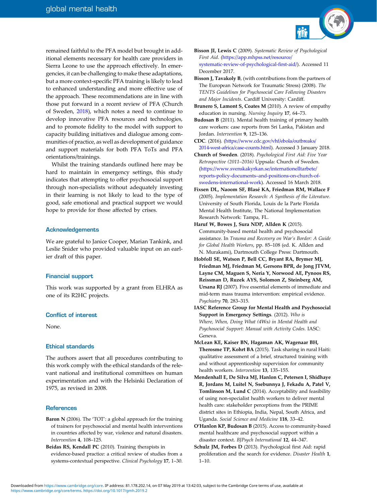<span id="page-11-0"></span>remained faithful to the PFA model but brought in additional elements necessary for health care providers in Sierra Leone to use the approach effectively. In emergencies, it can be challenging to make these adaptations, but a more context-specific PFA training is likely to lead to enhanced understanding and more effective use of the approach. These recommendations are in line with those put forward in a recent review of PFA (Church of Sweden, 2018), which notes a need to continue to develop innovative PFA resources and technologies, and to promote fidelity to the model with support to capacity building initiatives and dialogue among communities of practice, as well as development of guidance and support materials for both PFA ToTs and PFA orientations/trainings.

Whilst the training standards outlined here may be hard to maintain in emergency settings, this study indicates that attempting to offer psychosocial support through non-specialists without adequately investing in their learning is not likely to lead to the type of good, safe emotional and practical support we would hope to provide for those affected by crises.

# Acknowledgements

We are grateful to Janice Cooper, Marian Tankink, and Leslie Snider who provided valuable input on an earlier draft of this paper.

# Financial support

This work was supported by a grant from ELHRA as one of its R2HC projects.

## Conflict of interest

None.

# Ethical standards

The authors assert that all procedures contributing to this work comply with the ethical standards of the relevant national and institutional committees on human experimentation and with the Helsinki Declaration of 1975, as revised in 2008.

## **References**

- Baron N (2006). The 'TOT': a global approach for the training of trainers for psychosocial and mental health interventions in countries affected by war, violence and natural disasters. Intervention 4, 108–125.
- Beidas RS, Kendall PC (2010). Training therapists in evidence-based practice: a critical review of studies from a systems-contextual perspective. Clinical Psychology 17, 1–30.



- Bisson JI, Lewis C (2009). Systematic Review of Psychological First Aid. ([https://app.mhpss.net/resource/](https://app.mhpss.net/resource/systematic-review-of-psychological-first-aid/) [systematic-review-of-psychological-](https://app.mhpss.net/resource/systematic-review-of-psychological-first-aid/)first-aid/). Accessed 11 December 2017.
- Bisson J, Tavakoly B, (with contributions from the partners of The European Network for Traumatic Stress) (2008). The TENTS Guidelines for Psychosocial Care Following Disasters and Major Incidents. Cardiff University: Cardiff.
- Brunero S, Lamont S, Coates M (2010). A review of empathy education in nursing. Nursing Inquiry 17, 64–73.
- Budosan B (2011). Mental health training of primary health care workers: case reports from Sri Lanka, Pakistan and Jordan. Intervention 9, 125–136.
- CDC. (2016). [\(https://www.cdc.gov/vhf/ebola/outbreaks/](https://www.cdc.gov/vhf/ebola/outbreaks/2014-west-africa/case-counts.html) [2014-west-africa/case-counts.html](https://www.cdc.gov/vhf/ebola/outbreaks/2014-west-africa/case-counts.html)). Accessed 3 January 2018.

Church of Sweden. (2018). Psychological First Aid: Five Year Retrospective (2011–2016) Uppsala: Church of Sweden. [\(https://www.svenskakyrkan.se/internationelltarbete/](https://www.svenskakyrkan.se/internationelltarbete/reports-policy-documents--and-positions-on-church-of-swedens-international-work) reports-policy-documents–[and-positions-on-church-of](https://www.svenskakyrkan.se/internationelltarbete/reports-policy-documents--and-positions-on-church-of-swedens-international-work)[swedens-international-work\)](https://www.svenskakyrkan.se/internationelltarbete/reports-policy-documents--and-positions-on-church-of-swedens-international-work). Accessed 16 March 2018.

- Fixsen DL, Naoom SF, Blasé KA, Friedman RM, Wallace F (2005). Implementation Research: A Synthesis of the Literature. University of South Florida, Louis de la Parte Florida Mental Health Institute, The National Implementation Research Network: Tampa, FL.
- Haruf W, Bowes J, Sura NDP, Allden K (2015). Community-based mental health and psychosocial assistance. In Trauma and Recovery on War's Border: A Guide for Global Health Workers, pp. 85–108 (ed. K. Allden and N. Murakami), Dartmouth College Press: Dartmouth.
- Hobfoll SE, Watson P, Bell CC, Bryant RA, Brymer MJ, Friedman MJ, Friedman M, Gersons BPR, de Jong JTVM, Layne CM, Maguen S, Neria Y, Norwood AE, Pynoos RS, Reissman D, Ruzek AYS, Solomon Z, Steinberg AM, Ursana RJ (2007). Five essential elements of immediate and mid-term mass trauma intervention: empirical evidence. Psychiatry 70, 283–315.
- IASC Reference Group for Mental Health and Psychosocial Support in Emergency Settings. (2012). Who is Where, When, Doing What (4Ws) in Mental Health and Psychosocial Support: Manual with Activity Codes. IASC: Geneva.
- McLean KE, Kaiser BN, Hagaman AK, Wagenaar BH, Therosme TP, Kohrt BA (2015). Task sharing in rural Haiti: qualitative assessment of a brief, structured training with and without apprenticeship supervision for community health workers. Intervention 13, 135–155.
- Mendenhall E, De Silva MJ, Hanlon C, Petersen I, Shidhaye R, Jordans M, Luitel N, Ssebunnya J, Fekadu A, Patel V, Tomlinson M, Lund C (2014). Acceptability and feasibility of using non-specialist health workers to deliver mental health care: stakeholder perceptions from the PRIME district sites in Ethiopia, India, Nepal, South Africa, and Uganda. Social Science and Medicine 118, 33–42.
- O'Hanlon KP, Budosan B (2015). Access to community-based mental healthcare and psychosocial support within a disaster context. BJPsych International 12, 44–347.
- Schulz JM, Forbes D (2013). Psychological first Aid: rapid proliferation and the search for evidence. Disaster Health 1, 1–10.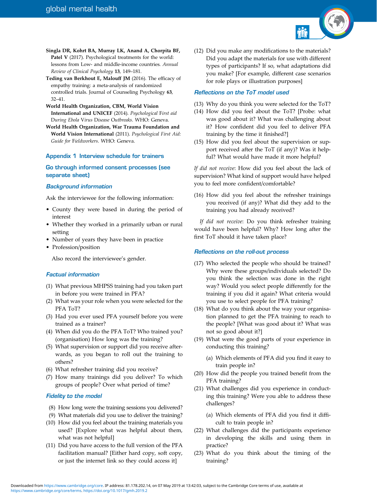

- <span id="page-12-0"></span>Singla DR, Kohrt BA, Murray LK, Anand A, Chorpita BF, Patel V (2017). Psychological treatments for the world: lessons from Low- and middle-income countries. Annual Review of Clinical Psychology 13, 149–181.
- Teding van Berkhout E, Malouff JM (2016). The efficacy of empathy training: a meta-analysis of randomized controlled trials. Journal of Counseling Psychology 63, 32–41.
- World Health Organization, CBM, World Vision International and UNICEF (2014). Psychological First aid During Ebola Virus Disease Outbreaks. WHO: Geneva.
- World Health Organization, War Trauma Foundation and World Vision International (2011). Psychological First Aid: Guide for Fieldworkers. WHO: Geneva.

# Appendix 1 Interview schedule for trainers

Go through informed consent processes (see separate sheet)

# Background information

Ask the interviewee for the following information:

- County they were based in during the period of interest
- Whether they worked in a primarily urban or rural setting
- Number of years they have been in practice
- Profession/position

Also record the interviewee's gender.

# Factual information

- (1) What previous MHPSS training had you taken part in before you were trained in PFA?
- (2) What was your role when you were selected for the PFA ToT?
- (3) Had you ever used PFA yourself before you were trained as a trainer?
- (4) When did you do the PFA ToT? Who trained you? (organisation) How long was the training?
- (5) What supervision or support did you receive afterwards, as you began to roll out the training to others?
- (6) What refresher training did you receive?
- (7) How many trainings did you deliver? To which groups of people? Over what period of time?

# Fidelity to the model

- (8) How long were the training sessions you delivered?
- (9) What materials did you use to deliver the training?
- (10) How did you feel about the training materials you used? [Explore what was helpful about them, what was not helpful]
- (11) Did you have access to the full version of the PFA facilitation manual? [Either hard copy, soft copy, or just the internet link so they could access it]

(12) Did you make any modifications to the materials? Did you adapt the materials for use with different types of participants? If so, what adaptations did you make? [For example, different case scenarios for role plays or illustration purposes]

# Reflections on the ToT model used

- (13) Why do you think you were selected for the ToT?
- (14) How did you feel about the ToT? [Probe: what was good about it? What was challenging about it? How confident did you feel to deliver PFA training by the time it finished?]
- (15) How did you feel about the supervision or support received after the ToT (if any)? Was it helpful? What would have made it more helpful?

If did not receive: How did you feel about the lack of supervision? What kind of support would have helped you to feel more confident/comfortable?

(16) How did you feel about the refresher trainings you received (if any)? What did they add to the training you had already received?

If did not receive: Do you think refresher training would have been helpful? Why? How long after the first ToT should it have taken place?

# Reflections on the roll-out process

- (17) Who selected the people who should be trained? Why were these groups/individuals selected? Do you think the selection was done in the right way? Would you select people differently for the training if you did it again? What criteria would you use to select people for PFA training?
- (18) What do you think about the way your organisation planned to get the PFA training to reach to the people? [What was good about it? What was not so good about it?]
- (19) What were the good parts of your experience in conducting this training?
	- (a) Which elements of PFA did you find it easy to train people in?
- (20) How did the people you trained benefit from the PFA training?
- (21) What challenges did you experience in conducting this training? Were you able to address these challenges?
	- (a) Which elements of PFA did you find it difficult to train people in?
- (22) What challenges did the participants experience in developing the skills and using them in practice?
- (23) What do you think about the timing of the training?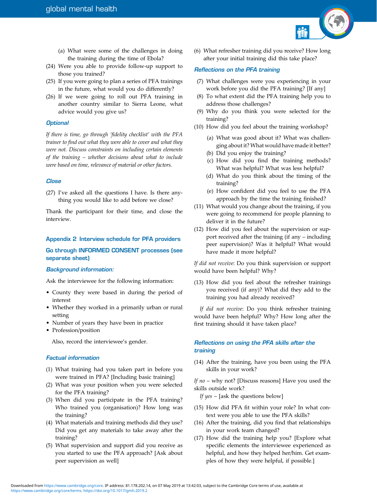

- (a) What were some of the challenges in doing the training during the time of Ebola?
- (24) Were you able to provide follow-up support to those you trained?
- (25) If you were going to plan a series of PFA trainings in the future, what would you do differently?
- (26) If we were going to roll out PFA training in another country similar to Sierra Leone, what advice would you give us?

# **Optional**

If there is time, go through 'fidelity checklist' with the PFA trainer to find out what they were able to cover and what they were not. Discuss constraints on including certain elements of the training – whether decisions about what to include were based on time, relevance of material or other factors.

# **Close**

(27) I've asked all the questions I have. Is there anything you would like to add before we close?

Thank the participant for their time, and close the interview.

# Appendix 2 Interview schedule for PFA providers

Go through INFORMED CONSENT processes (see separate sheet)

# Background information:

Ask the interviewee for the following information:

- County they were based in during the period of interest
- Whether they worked in a primarily urban or rural setting
- Number of years they have been in practice
- Profession/position

Also, record the interviewee's gender.

# Factual information

- (1) What training had you taken part in before you were trained in PFA? [Including basic training]
- (2) What was your position when you were selected for the PFA training?
- (3) When did you participate in the PFA training? Who trained you (organisation)? How long was the training?
- (4) What materials and training methods did they use? Did you get any materials to take away after the training?
- (5) What supervision and support did you receive as you started to use the PFA approach? [Ask about peer supervision as well]

(6) What refresher training did you receive? How long after your initial training did this take place?

# Reflections on the PFA training

- (7) What challenges were you experiencing in your work before you did the PFA training? [If any]
- (8) To what extent did the PFA training help you to address those challenges?
- (9) Why do you think you were selected for the training?
- (10) How did you feel about the training workshop?
	- (a) What was good about it? What was challenging about it?What would have made it better?
	- (b) Did you enjoy the training?
	- (c) How did you find the training methods? What was helpful? What was less helpful?
	- (d) What do you think about the timing of the training?
	- (e) How confident did you feel to use the PFA approach by the time the training finished?
- (11) What would you change about the training, if you were going to recommend for people planning to deliver it in the future?
- (12) How did you feel about the supervision or support received after the training (if any – including peer supervision)? Was it helpful? What would have made it more helpful?

If did not receive: Do you think supervision or support would have been helpful? Why?

(13) How did you feel about the refresher trainings you received (if any)? What did they add to the training you had already received?

If did not receive: Do you think refresher training would have been helpful? Why? How long after the first training should it have taken place?

# Reflections on using the PFA skills after the training

(14) After the training, have you been using the PFA skills in your work?

If  $no$  – why not? [Discuss reasons] Have you used the skills outside work?

If yes – [ask the questions below]

- (15) How did PFA fit within your role? In what context were you able to use the PFA skills?
- (16) After the training, did you find that relationships in your work team changed?
- (17) How did the training help you? [Explore what specific elements the interviewee experienced as helpful, and how they helped her/him. Get examples of how they were helpful, if possible.]